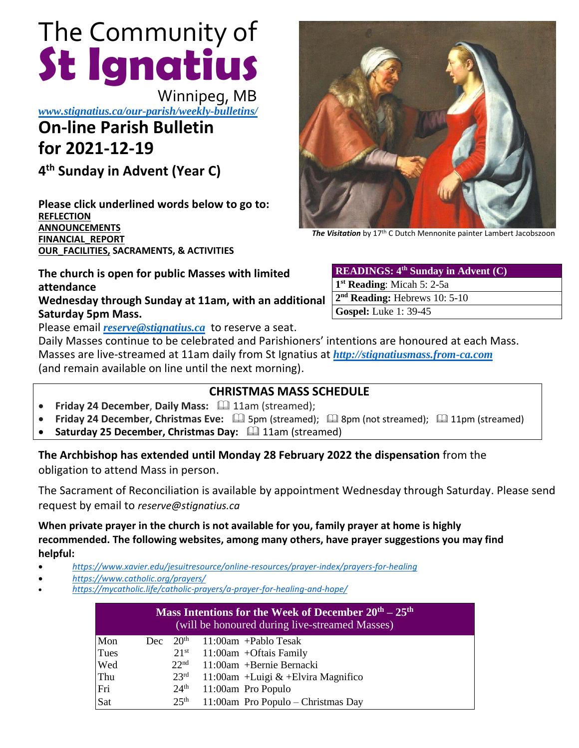# The Community of **St Ignatius**

Winnipeg, MB

*www.stignatius.ca/our-parish/weekly-bulletins/*

# **On-line Parish Bulletin for 2021-12-19**

**4 th Sunday in Advent (Year C)**

**Please click underlined words below to go to: [REFLECTION](#page-2-0) [ANNOUNCEMENTS](#page-1-0) [FINANCIAL\\_REPORT](#page-3-0) [OUR\\_FACILITIES,](#page-3-1) SACRAMENTS, & ACTIVITIES**

**The church is open for public Masses with limited attendance Wednesday through Sunday at 11am, with an additional Saturday 5pm Mass.** 

Please email *[reserve@stignatius.ca](mailto:reserve@stignatius.cat)* to reserve a seat.

Daily Masses continue to be celebrated and Parishioners' intentions are honoured at each Mass. Masses are live-streamed at 11am daily from St Ignatius at *[http://stignatiusmass.from-ca.com](http://stignatiusmass.from-ca.com/)* (and remain available on line until the next morning).

# **CHRISTMAS MASS SCHEDULE**

- Friday 24 December, Daily Mass: **Q 11am (streamed)**;
- Friday 24 December, Christmas Eve:  $\Box$  5pm (streamed);  $\Box$  8pm (not streamed);  $\Box$  11pm (streamed)
- **Saturday 25 December, Christmas Day:** 4 11am (streamed)

**The Archbishop has extended until Monday 28 February 2022 the dispensation** from the obligation to attend Mass in person.

The Sacrament of Reconciliation is available by appointment Wednesday through Saturday. Please send request by email to *reserve@stignatius.ca*

**When private prayer in the church is not available for you, family prayer at home is highly recommended. The following websites, among many others, have prayer suggestions you may find helpful:**

- *<https://www.xavier.edu/jesuitresource/online-resources/prayer-index/prayers-for-healing>*
- *<https://www.catholic.org/prayers/>*
- *<https://mycatholic.life/catholic-prayers/a-prayer-for-healing-and-hope/>*

| Mass Intentions for the Week of December $20th - 25th$<br>(will be honoured during live-streamed Masses) |     |                  |                                      |
|----------------------------------------------------------------------------------------------------------|-----|------------------|--------------------------------------|
| Mon                                                                                                      | Dec | 20 <sup>th</sup> | 11:00am +Pablo Tesak                 |
| Tues                                                                                                     |     | $21^{st}$        | $11:00$ am +Oftais Family            |
| Wed                                                                                                      |     | 22 <sup>nd</sup> | 11:00am +Bernie Bernacki             |
| Thu                                                                                                      |     | 23 <sup>rd</sup> | 11:00am +Luigi $&$ +Elvira Magnifico |
| Fri                                                                                                      |     | 24 <sup>th</sup> | 11:00am Pro Populo                   |
| Sat                                                                                                      |     | 25 <sup>th</sup> | 11:00am Pro Populo - Christmas Day   |

*The Visitation* by 17th C Dutch Mennonite painter Lambert Jacobszoon

| <b>READINGS:</b> $4^{\text{th}}$ Sunday in Advent (C). |  |  |  |  |
|--------------------------------------------------------|--|--|--|--|
| $1st$ Reading: Micah 5: 2-5a                           |  |  |  |  |
| $2nd$ Reading: Hebrews 10: 5-10                        |  |  |  |  |
| <b>Gospel:</b> Luke 1: 39-45                           |  |  |  |  |
|                                                        |  |  |  |  |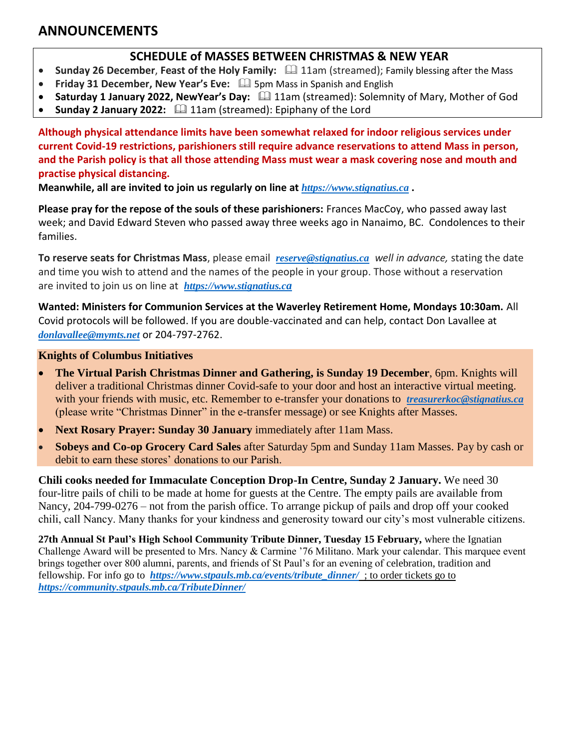# <span id="page-1-0"></span>**ANNOUNCEMENTS**

### **SCHEDULE of MASSES BETWEEN CHRISTMAS & NEW YEAR**

- Sunday 26 December, Feast of the Holy Family:  $\Box$  11am (streamed); Family blessing after the Mass
- Friday 31 December, New Year's Eve:  $\Box$  5pm Mass in Spanish and English
- Saturday 1 January 2022, NewYear's Day:  $\Box$  11am (streamed): Solemnity of Mary, Mother of God
- Sunday 2 January 2022: <sup>1</sup> 11am (streamed): Epiphany of the Lord

**Although physical attendance limits have been somewhat relaxed for indoor religious services under current Covid-19 restrictions, parishioners still require advance reservations to attend Mass in person, and the Parish policy is that all those attending Mass must wear a mask covering nose and mouth and practise physical distancing.**

**Meanwhile, all are invited to join us regularly on line at** *https://www.stignatius.ca* **.** 

**Please pray for the repose of the souls of these parishioners:** Frances MacCoy, who passed away last week; and David Edward Steven who passed away three weeks ago in Nanaimo, BC. Condolences to their families.

**To reserve seats for Christmas Mass**, please email *[reserve@stignatius.ca](mailto:reserve@stignatius.ca) well in advance,* stating the date and time you wish to attend and the names of the people in your group. Those without a reservation are invited to join us on line at *[https://www.stignatius.c](https://www.stignatius.ca/)a* 

**Wanted: Ministers for Communion Services at the Waverley Retirement Home, Mondays 10:30am.** All Covid protocols will be followed. If you are double-vaccinated and can help, contact Don Lavallee at *[donlavallee@mymts.net](mailto:donlavallee@mymts.net)* or 204-797-2762.

#### **Knights of Columbus Initiatives**

- **The Virtual Parish Christmas Dinner and Gathering, is Sunday 19 December**, 6pm. Knights will deliver a traditional Christmas dinner Covid-safe to your door and host an interactive virtual meeting. with your friends with music, etc. Remember to e-transfer your donations to *[treasurerkoc@stignatius.ca](mailto:treasurerkoc@stignatius.ca)* (please write "Christmas Dinner" in the e-transfer message) or see Knights after Masses.
- **Next Rosary Prayer: Sunday 30 January** immediately after 11am Mass.
- **Sobeys and Co-op Grocery Card Sales** after Saturday 5pm and Sunday 11am Masses. Pay by cash or debit to earn these stores' donations to our Parish.

**Chili cooks needed for Immaculate Conception Drop-In Centre, Sunday 2 January.** We need 30 four-litre pails of chili to be made at home for guests at the Centre. The empty pails are available from Nancy, 204-799-0276 – not from the parish office. To arrange pickup of pails and drop off your cooked chili, call Nancy. Many thanks for your kindness and generosity toward our city's most vulnerable citizens.

**27th Annual St Paul's High School Community Tribute Dinner, Tuesday 15 February,** where the Ignatian Challenge Award will be presented to Mrs. Nancy & Carmine '76 Militano. Mark your calendar. This marquee event brings together over 800 alumni, parents, and friends of St Paul's for an evening of celebration, tradition and fellowship. For info go to *[https://www.stpauls.mb.ca/events/tribute\\_dinner/](https://www.stpauls.mb.ca/events/tribute_dinner/)* ; to order tickets go to *<https://community.stpauls.mb.ca/TributeDinner/>*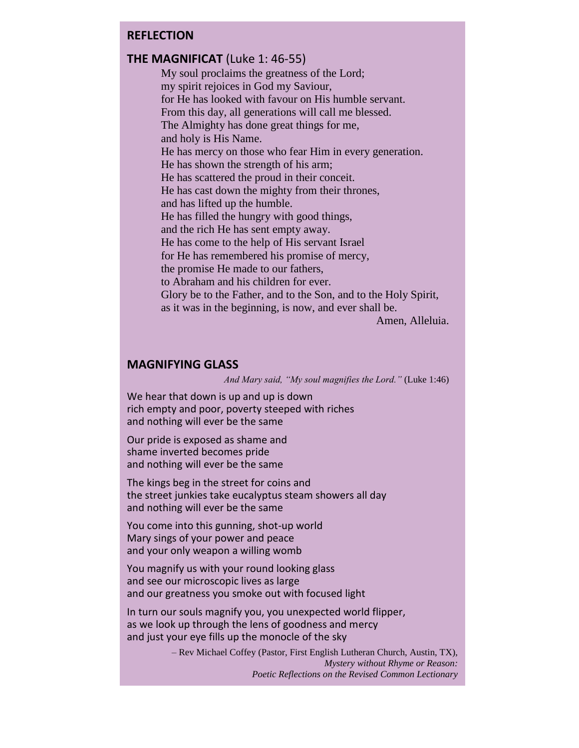#### <span id="page-2-0"></span>**REFLECTION**

#### **THE MAGNIFICAT (Luke 1: 46-55)**

My soul proclaims the greatness of the Lord; my spirit rejoices in God my Saviour, for He has looked with favour on His humble servant. From this day, all generations will call me blessed. The Almighty has done great things for me, and holy is His Name. He has mercy on those who fear Him in every generation. He has shown the strength of his arm; He has scattered the proud in their conceit. He has cast down the mighty from their thrones, and has lifted up the humble. He has filled the hungry with good things, and the rich He has sent empty away. He has come to the help of His servant Israel for He has remembered his promise of mercy, the promise He made to our fathers, to Abraham and his children for ever. Glory be to the Father, and to the Son, and to the Holy Spirit, as it was in the beginning, is now, and ever shall be. Amen, Alleluia.

#### **MAGNIFYING GLASS**

*And Mary said, "My soul magnifies the Lord."* (Luke 1:46)

We hear that down is up and up is down rich empty and poor, poverty steeped with riches and nothing will ever be the same

Our pride is exposed as shame and shame inverted becomes pride and nothing will ever be the same

The kings beg in the street for coins and the street junkies take eucalyptus steam showers all day and nothing will ever be the same

You come into this gunning, shot-up world Mary sings of your power and peace and your only weapon a willing womb

You magnify us with your round looking glass and see our microscopic lives as large and our greatness you smoke out with focused light

In turn our souls magnify you, you unexpected world flipper, as we look up through the lens of goodness and mercy and just your eye fills up the monocle of the sky

> – Rev Michael Coffey (Pastor, First English Lutheran Church, Austin, TX), *Mystery without Rhyme or Reason: Poetic Reflections on the Revised Common Lectionary*